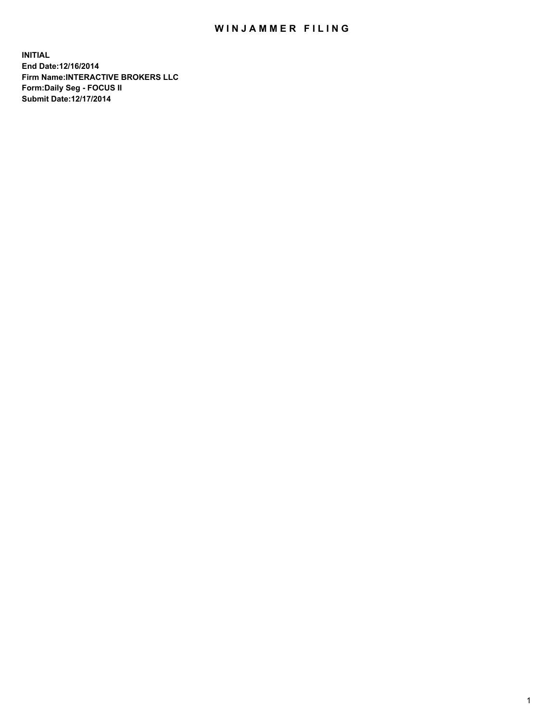## WIN JAMMER FILING

**INITIAL End Date:12/16/2014 Firm Name:INTERACTIVE BROKERS LLC Form:Daily Seg - FOCUS II Submit Date:12/17/2014**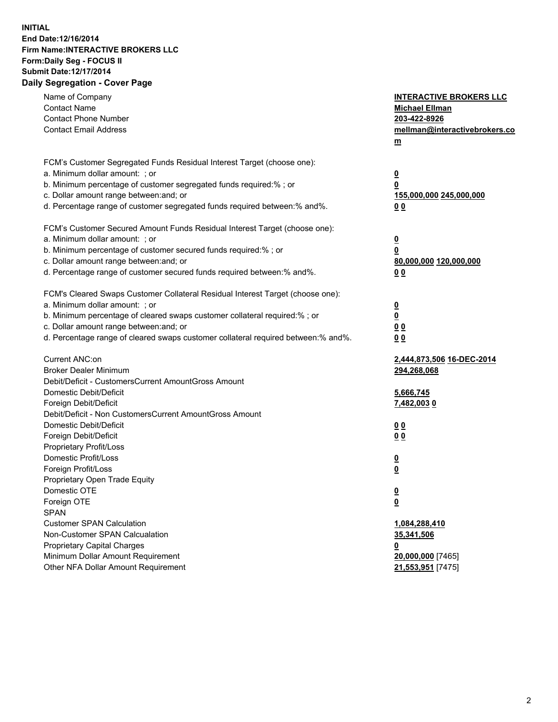## **INITIAL End Date:12/16/2014 Firm Name:INTERACTIVE BROKERS LLC Form:Daily Seg - FOCUS II Submit Date:12/17/2014 Daily Segregation - Cover Page**

| Name of Company<br><b>Contact Name</b><br><b>Contact Phone Number</b><br><b>Contact Email Address</b>                                                                                                                                                                                                                          | <b>INTERACTIVE BROKERS LLC</b><br><b>Michael Ellman</b><br>203-422-8926<br>mellman@interactivebrokers.co<br>$m$ |
|--------------------------------------------------------------------------------------------------------------------------------------------------------------------------------------------------------------------------------------------------------------------------------------------------------------------------------|-----------------------------------------------------------------------------------------------------------------|
| FCM's Customer Segregated Funds Residual Interest Target (choose one):<br>a. Minimum dollar amount: ; or<br>b. Minimum percentage of customer segregated funds required:% ; or<br>c. Dollar amount range between: and; or<br>d. Percentage range of customer segregated funds required between:% and%.                         | <u>0</u><br><u>0</u><br>155,000,000 245,000,000<br>0 <sub>0</sub>                                               |
| FCM's Customer Secured Amount Funds Residual Interest Target (choose one):<br>a. Minimum dollar amount: ; or<br>b. Minimum percentage of customer secured funds required:% ; or<br>c. Dollar amount range between: and; or<br>d. Percentage range of customer secured funds required between:% and%.                           | <u>0</u><br>0<br>80,000,000 120,000,000<br>0 <sub>0</sub>                                                       |
| FCM's Cleared Swaps Customer Collateral Residual Interest Target (choose one):<br>a. Minimum dollar amount: ; or<br>b. Minimum percentage of cleared swaps customer collateral required:% ; or<br>c. Dollar amount range between: and; or<br>d. Percentage range of cleared swaps customer collateral required between:% and%. | $\overline{\mathbf{0}}$<br>$\underline{\mathbf{0}}$<br>0 <sub>0</sub><br>0 <sub>0</sub>                         |
| Current ANC:on<br><b>Broker Dealer Minimum</b><br>Debit/Deficit - CustomersCurrent AmountGross Amount<br>Domestic Debit/Deficit<br>Foreign Debit/Deficit                                                                                                                                                                       | 2,444,873,506 16-DEC-2014<br>294,268,068<br>5,666,745<br>7,482,003 0                                            |
| Debit/Deficit - Non CustomersCurrent AmountGross Amount<br>Domestic Debit/Deficit<br>Foreign Debit/Deficit<br>Proprietary Profit/Loss<br>Domestic Profit/Loss                                                                                                                                                                  | 0 <sub>0</sub><br>0 <sub>0</sub><br><u>0</u>                                                                    |
| Foreign Profit/Loss<br>Proprietary Open Trade Equity<br>Domestic OTE<br>Foreign OTE<br><b>SPAN</b><br><b>Customer SPAN Calculation</b>                                                                                                                                                                                         | <u>0</u><br><u>0</u><br><u>0</u>                                                                                |
| Non-Customer SPAN Calcualation<br><b>Proprietary Capital Charges</b><br>Minimum Dollar Amount Requirement<br>Other NFA Dollar Amount Requirement                                                                                                                                                                               | 1,084,288,410<br>35,341,506<br><u>0</u><br>20,000,000 [7465]<br>21,553,951 [7475]                               |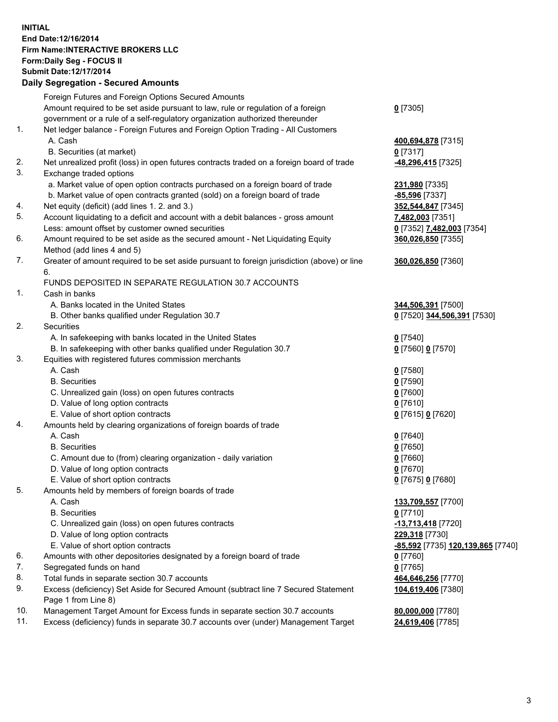## **INITIAL End Date:12/16/2014 Firm Name:INTERACTIVE BROKERS LLC Form:Daily Seg - FOCUS II Submit Date:12/17/2014**

| <b>Daily Segregation - Secured Amounts</b> |                                                                                             |                                   |  |  |
|--------------------------------------------|---------------------------------------------------------------------------------------------|-----------------------------------|--|--|
|                                            | Foreign Futures and Foreign Options Secured Amounts                                         |                                   |  |  |
|                                            | Amount required to be set aside pursuant to law, rule or regulation of a foreign            | $0$ [7305]                        |  |  |
|                                            | government or a rule of a self-regulatory organization authorized thereunder                |                                   |  |  |
| 1.                                         | Net ledger balance - Foreign Futures and Foreign Option Trading - All Customers             |                                   |  |  |
|                                            | A. Cash                                                                                     | 400,694,878 [7315]                |  |  |
|                                            | B. Securities (at market)                                                                   | <u>0</u> [7317]                   |  |  |
| 2.                                         | Net unrealized profit (loss) in open futures contracts traded on a foreign board of trade   | <u>-48,296,415</u> [7325]         |  |  |
| 3.                                         | Exchange traded options                                                                     |                                   |  |  |
|                                            | a. Market value of open option contracts purchased on a foreign board of trade              | 231,980 [7335]                    |  |  |
|                                            | b. Market value of open contracts granted (sold) on a foreign board of trade                | $-85,596$ [7337]                  |  |  |
| 4.                                         | Net equity (deficit) (add lines 1.2. and 3.)                                                | 352,544,847 [7345]                |  |  |
| 5.                                         | Account liquidating to a deficit and account with a debit balances - gross amount           | 7,482,003 [7351]                  |  |  |
|                                            | Less: amount offset by customer owned securities                                            | 0 [7352] 7,482,003 [7354]         |  |  |
| 6.                                         | Amount required to be set aside as the secured amount - Net Liquidating Equity              | 360,026,850 [7355]                |  |  |
|                                            | Method (add lines 4 and 5)                                                                  |                                   |  |  |
| 7.                                         | Greater of amount required to be set aside pursuant to foreign jurisdiction (above) or line | 360,026,850 [7360]                |  |  |
|                                            | 6.                                                                                          |                                   |  |  |
|                                            | FUNDS DEPOSITED IN SEPARATE REGULATION 30.7 ACCOUNTS                                        |                                   |  |  |
| 1.                                         | Cash in banks                                                                               |                                   |  |  |
|                                            | A. Banks located in the United States                                                       | 344,506,391 [7500]                |  |  |
|                                            | B. Other banks qualified under Regulation 30.7                                              | 0 [7520] 344,506,391 [7530]       |  |  |
| 2.                                         | Securities                                                                                  |                                   |  |  |
|                                            | A. In safekeeping with banks located in the United States                                   | $0$ [7540]                        |  |  |
| 3.                                         | B. In safekeeping with other banks qualified under Regulation 30.7                          | 0 [7560] 0 [7570]                 |  |  |
|                                            | Equities with registered futures commission merchants<br>A. Cash                            | $0$ [7580]                        |  |  |
|                                            | <b>B.</b> Securities                                                                        | $0$ [7590]                        |  |  |
|                                            | C. Unrealized gain (loss) on open futures contracts                                         | $0$ [7600]                        |  |  |
|                                            | D. Value of long option contracts                                                           | $0$ [7610]                        |  |  |
|                                            | E. Value of short option contracts                                                          | 0 [7615] 0 [7620]                 |  |  |
| 4.                                         | Amounts held by clearing organizations of foreign boards of trade                           |                                   |  |  |
|                                            | A. Cash                                                                                     | $0$ [7640]                        |  |  |
|                                            | <b>B.</b> Securities                                                                        | $0$ [7650]                        |  |  |
|                                            | C. Amount due to (from) clearing organization - daily variation                             | $0$ [7660]                        |  |  |
|                                            | D. Value of long option contracts                                                           | $0$ [7670]                        |  |  |
|                                            | E. Value of short option contracts                                                          | 0 [7675] 0 [7680]                 |  |  |
| 5.                                         | Amounts held by members of foreign boards of trade                                          |                                   |  |  |
|                                            | A. Cash                                                                                     | 133,709,557 [7700]                |  |  |
|                                            | <b>B.</b> Securities                                                                        | $0$ [7710]                        |  |  |
|                                            | C. Unrealized gain (loss) on open futures contracts                                         | -13,713,418 [7720]                |  |  |
|                                            | D. Value of long option contracts                                                           | <b>229,318</b> [7730]             |  |  |
|                                            | E. Value of short option contracts                                                          | -85,592 [7735] 120,139,865 [7740] |  |  |
| 6.                                         | Amounts with other depositories designated by a foreign board of trade                      | 0 [7760]                          |  |  |
| 7.                                         | Segregated funds on hand                                                                    | $0$ [7765]                        |  |  |
| 8.                                         | Total funds in separate section 30.7 accounts                                               | 464,646,256 [7770]                |  |  |
| 9.                                         | Excess (deficiency) Set Aside for Secured Amount (subtract line 7 Secured Statement         | 104,619,406 [7380]                |  |  |
|                                            | Page 1 from Line 8)                                                                         |                                   |  |  |
| 10.                                        | Management Target Amount for Excess funds in separate section 30.7 accounts                 | 80,000,000 [7780]                 |  |  |
| 11.                                        | Excess (deficiency) funds in separate 30.7 accounts over (under) Management Target          | 24,619,406 [7785]                 |  |  |
|                                            |                                                                                             |                                   |  |  |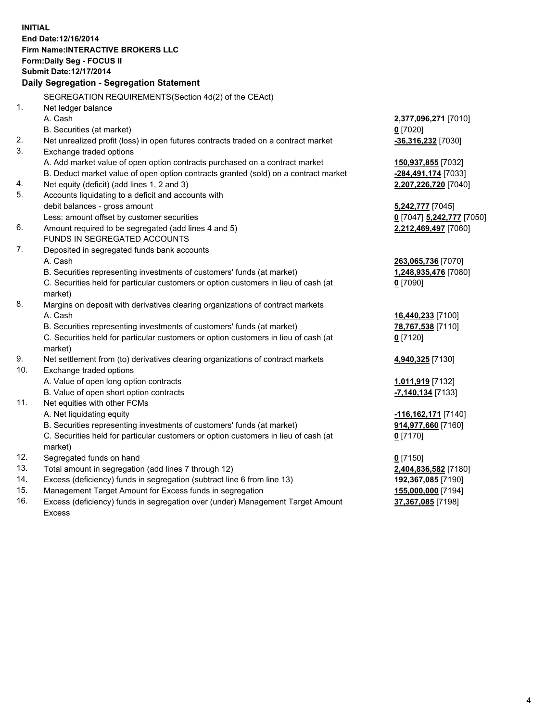**INITIAL End Date:12/16/2014 Firm Name:INTERACTIVE BROKERS LLC Form:Daily Seg - FOCUS II Submit Date:12/17/2014 Daily Segregation - Segregation Statement** SEGREGATION REQUIREMENTS(Section 4d(2) of the CEAct) 1. Net ledger balance A. Cash **2,377,096,271** [7010] B. Securities (at market) **0** [7020] 2. Net unrealized profit (loss) in open futures contracts traded on a contract market **-36,316,232** [7030] 3. Exchange traded options A. Add market value of open option contracts purchased on a contract market **150,937,855** [7032] B. Deduct market value of open option contracts granted (sold) on a contract market **-284,491,174** [7033] 4. Net equity (deficit) (add lines 1, 2 and 3) **2,207,226,720** [7040] 5. Accounts liquidating to a deficit and accounts with debit balances - gross amount **5,242,777** [7045] Less: amount offset by customer securities **0** [7047] **5,242,777** [7050] 6. Amount required to be segregated (add lines 4 and 5) **2,212,469,497** [7060] FUNDS IN SEGREGATED ACCOUNTS 7. Deposited in segregated funds bank accounts A. Cash **263,065,736** [7070] B. Securities representing investments of customers' funds (at market) **1,248,935,476** [7080] C. Securities held for particular customers or option customers in lieu of cash (at market) **0** [7090] 8. Margins on deposit with derivatives clearing organizations of contract markets A. Cash **16,440,233** [7100] B. Securities representing investments of customers' funds (at market) **78,767,538** [7110] C. Securities held for particular customers or option customers in lieu of cash (at market) **0** [7120] 9. Net settlement from (to) derivatives clearing organizations of contract markets **4,940,325** [7130] 10. Exchange traded options A. Value of open long option contracts **1,011,919** [7132] B. Value of open short option contracts **-7,140,134** [7133] 11. Net equities with other FCMs A. Net liquidating equity **-116,162,171** [7140] B. Securities representing investments of customers' funds (at market) **914,977,660** [7160] C. Securities held for particular customers or option customers in lieu of cash (at market) **0** [7170] 12. Segregated funds on hand **0** [7150] 13. Total amount in segregation (add lines 7 through 12) **2,404,836,582** [7180] 14. Excess (deficiency) funds in segregation (subtract line 6 from line 13) **192,367,085** [7190] 15. Management Target Amount for Excess funds in segregation **155,000,000** [7194]

16. Excess (deficiency) funds in segregation over (under) Management Target Amount Excess

**37,367,085** [7198]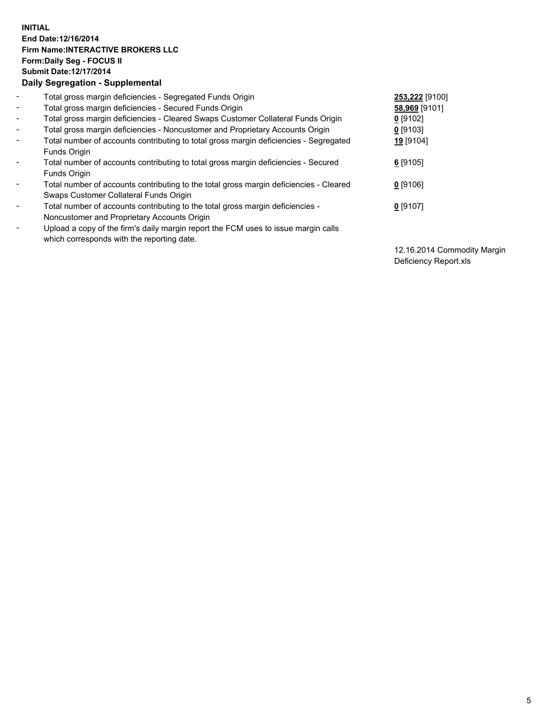## **INITIAL End Date:12/16/2014 Firm Name:INTERACTIVE BROKERS LLC Form:Daily Seg - FOCUS II Submit Date:12/17/2014 Daily Segregation - Supplemental**

| $\blacksquare$               | Total gross margin deficiencies - Segregated Funds Origin                              | 253,222 [9100] |
|------------------------------|----------------------------------------------------------------------------------------|----------------|
| $\blacksquare$               | Total gross margin deficiencies - Secured Funds Origin                                 | 58,969 [9101]  |
| $\blacksquare$               | Total gross margin deficiencies - Cleared Swaps Customer Collateral Funds Origin       | $0$ [9102]     |
| $\blacksquare$               | Total gross margin deficiencies - Noncustomer and Proprietary Accounts Origin          | 0 [9103]       |
| $\blacksquare$               | Total number of accounts contributing to total gross margin deficiencies - Segregated  | 19 [9104]      |
|                              | <b>Funds Origin</b>                                                                    |                |
| $\blacksquare$               | Total number of accounts contributing to total gross margin deficiencies - Secured     | $6$ [9105]     |
|                              | Funds Origin                                                                           |                |
| $\qquad \qquad \blacksquare$ | Total number of accounts contributing to the total gross margin deficiencies - Cleared | $0$ [9106]     |
|                              | Swaps Customer Collateral Funds Origin                                                 |                |
| -                            | Total number of accounts contributing to the total gross margin deficiencies -         | $0$ [9107]     |
|                              | Noncustomer and Proprietary Accounts Origin                                            |                |
| -                            | Upload a copy of the firm's daily margin report the FCM uses to issue margin calls     |                |
|                              | which corresponds with the reporting date.                                             |                |

12.16.2014 Commodity Margin Deficiency Report.xls